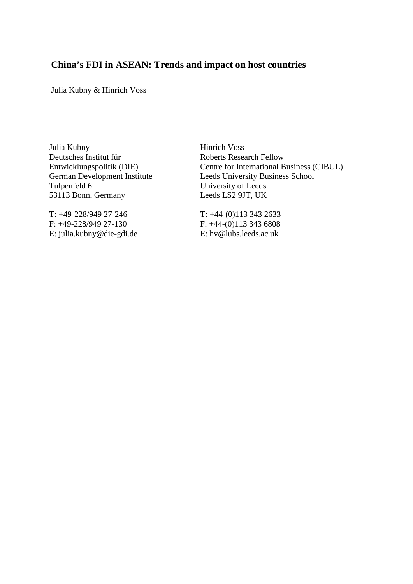# **China's FDI in ASEAN: Trends and impact on host countries**

Julia Kubny & Hinrich Voss

Julia Kubny Deutsches Institut für Entwicklungspolitik (DIE) German Development Institute Tulpenfeld 6 53113 Bonn, Germany

T: +49-228/949 27-246 F: +49-228/949 27-130 E: julia.kubny@die-gdi.de Hinrich Voss Roberts Research Fellow Centre for International Business (CIBUL) Leeds University Business School University of Leeds Leeds LS2 9JT, UK

 $T: +44-(0)1133432633$ F: +44-(0)113 343 6808 E: hv@lubs.leeds.ac.uk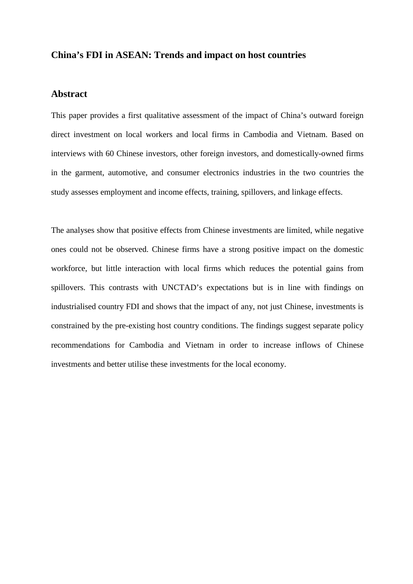# **China's FDI in ASEAN: Trends and impact on host countries**

# **Abstract**

This paper provides a first qualitative assessment of the impact of China's outward foreign direct investment on local workers and local firms in Cambodia and Vietnam. Based on interviews with 60 Chinese investors, other foreign investors, and domestically-owned firms in the garment, automotive, and consumer electronics industries in the two countries the study assesses employment and income effects, training, spillovers, and linkage effects.

The analyses show that positive effects from Chinese investments are limited, while negative ones could not be observed. Chinese firms have a strong positive impact on the domestic workforce, but little interaction with local firms which reduces the potential gains from spillovers. This contrasts with UNCTAD's expectations but is in line with findings on industrialised country FDI and shows that the impact of any, not just Chinese, investments is constrained by the pre-existing host country conditions. The findings suggest separate policy recommendations for Cambodia and Vietnam in order to increase inflows of Chinese investments and better utilise these investments for the local economy.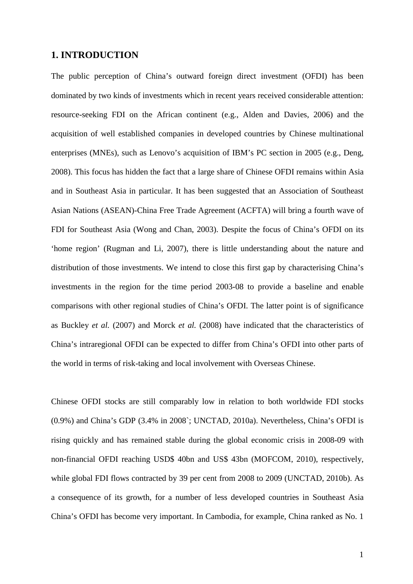# **1. INTRODUCTION**

The public perception of China's outward foreign direct investment (OFDI) has been dominated by two kinds of investments which in recent years received considerable attention: resource-seeking FDI on the African continent (e.g., Alden and Davies, 2006) and the acquisition of well established companies in developed countries by Chinese multinational enterprises (MNEs), such as Lenovo's acquisition of IBM's PC section in 2005 (e.g., Deng, 2008). This focus has hidden the fact that a large share of Chinese OFDI remains within Asia and in Southeast Asia in particular. It has been suggested that an Association of Southeast Asian Nations (ASEAN)-China Free Trade Agreement (ACFTA) will bring a fourth wave of FDI for Southeast Asia (Wong and Chan, 2003). Despite the focus of China's OFDI on its 'home region' (Rugman and Li, 2007), there is little understanding about the nature and distribution of those investments. We intend to close this first gap by characterising China's investments in the region for the time period 2003-08 to provide a baseline and enable comparisons with other regional studies of China's OFDI. The latter point is of significance as Buckley *et al.* (2007) and Morck *et al.* (2008) have indicated that the characteristics of China's intraregional OFDI can be expected to differ from China's OFDI into other parts of the world in terms of risk-taking and local involvement with Overseas Chinese.

Chinese OFDI stocks are still comparably low in relation to both worldwide FDI stocks (0.9%) and China's GDP (3.4% in 2008`; UNCTAD, 2010a). Nevertheless, China's OFDI is rising quickly and has remained stable during the global economic crisis in 2008-09 with non-financial OFDI reaching USD\$ 40bn and US\$ 43bn (MOFCOM, 2010), respectively, while global FDI flows contracted by 39 per cent from 2008 to 2009 (UNCTAD, 2010b). As a consequence of its growth, for a number of less developed countries in Southeast Asia China's OFDI has become very important. In Cambodia, for example, China ranked as No. 1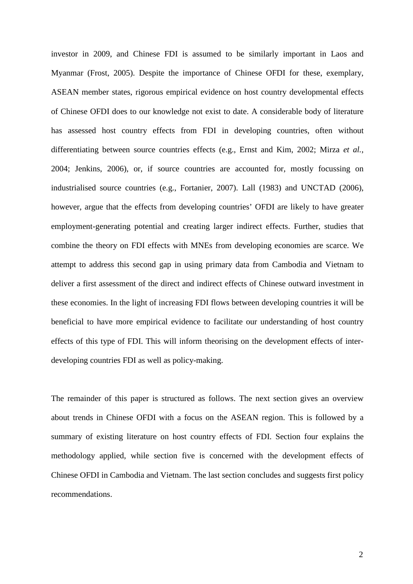investor in 2009, and Chinese FDI is assumed to be similarly important in Laos and Myanmar (Frost, 2005). Despite the importance of Chinese OFDI for these, exemplary, ASEAN member states, rigorous empirical evidence on host country developmental effects of Chinese OFDI does to our knowledge not exist to date. A considerable body of literature has assessed host country effects from FDI in developing countries, often without differentiating between source countries effects (e.g., Ernst and Kim, 2002; Mirza *et al.*, 2004; Jenkins, 2006), or, if source countries are accounted for, mostly focussing on industrialised source countries (e.g., Fortanier, 2007). Lall (1983) and UNCTAD (2006), however, argue that the effects from developing countries' OFDI are likely to have greater employment-generating potential and creating larger indirect effects. Further, studies that combine the theory on FDI effects with MNEs from developing economies are scarce. We attempt to address this second gap in using primary data from Cambodia and Vietnam to deliver a first assessment of the direct and indirect effects of Chinese outward investment in these economies. In the light of increasing FDI flows between developing countries it will be beneficial to have more empirical evidence to facilitate our understanding of host country effects of this type of FDI. This will inform theorising on the development effects of interdeveloping countries FDI as well as policy-making.

The remainder of this paper is structured as follows. The next section gives an overview about trends in Chinese OFDI with a focus on the ASEAN region. This is followed by a summary of existing literature on host country effects of FDI. Section four explains the methodology applied, while section five is concerned with the development effects of Chinese OFDI in Cambodia and Vietnam. The last section concludes and suggests first policy recommendations.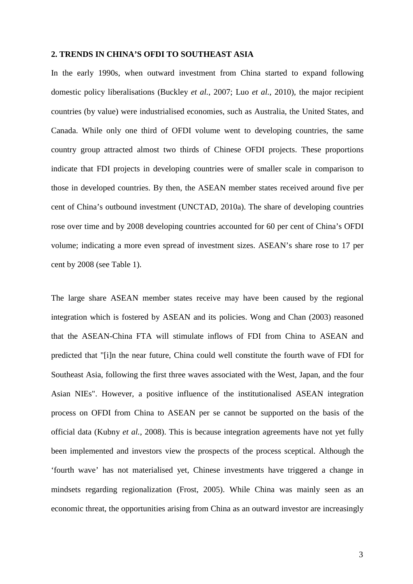#### **2. TRENDS IN CHINA'S OFDI TO SOUTHEAST ASIA**

In the early 1990s, when outward investment from China started to expand following domestic policy liberalisations (Buckley *et al.*, 2007; Luo *et al.*, 2010), the major recipient countries (by value) were industrialised economies, such as Australia, the United States, and Canada. While only one third of OFDI volume went to developing countries, the same country group attracted almost two thirds of Chinese OFDI projects. These proportions indicate that FDI projects in developing countries were of smaller scale in comparison to those in developed countries. By then, the ASEAN member states received around five per cent of China's outbound investment (UNCTAD, 2010a). The share of developing countries rose over time and by 2008 developing countries accounted for 60 per cent of China's OFDI volume; indicating a more even spread of investment sizes. ASEAN's share rose to 17 per cent by 2008 (see Table 1).

The large share ASEAN member states receive may have been caused by the regional integration which is fostered by ASEAN and its policies. Wong and Chan (2003) reasoned that the ASEAN-China FTA will stimulate inflows of FDI from China to ASEAN and predicted that "[i]n the near future, China could well constitute the fourth wave of FDI for Southeast Asia, following the first three waves associated with the West, Japan, and the four Asian NIEs". However, a positive influence of the institutionalised ASEAN integration process on OFDI from China to ASEAN per se cannot be supported on the basis of the official data (Kubny *et al.*, 2008). This is because integration agreements have not yet fully been implemented and investors view the prospects of the process sceptical. Although the 'fourth wave' has not materialised yet, Chinese investments have triggered a change in mindsets regarding regionalization (Frost, 2005). While China was mainly seen as an economic threat, the opportunities arising from China as an outward investor are increasingly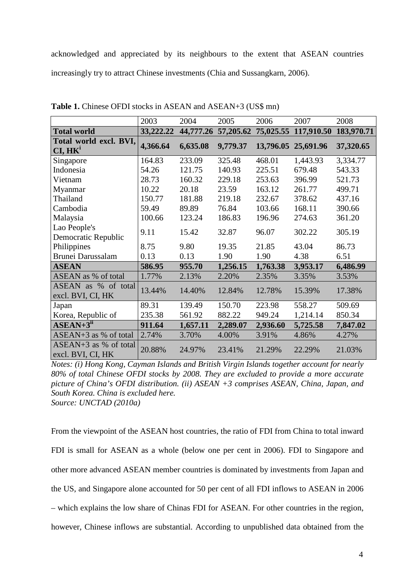acknowledged and appreciated by its neighbours to the extent that ASEAN countries increasingly try to attract Chinese investments (Chia and Sussangkarn, 2006).

|                                               | 2003      | 2004      | 2005      | 2006     | 2007                 | 2008       |
|-----------------------------------------------|-----------|-----------|-----------|----------|----------------------|------------|
| <b>Total world</b>                            | 33,222.22 | 44,777.26 | 57,205.62 |          | 75,025.55 117,910.50 | 183,970.71 |
| Total world excl. BVI,<br>CI, HK <sup>i</sup> | 4,366.64  | 6,635.08  | 9,779.37  |          | 13,796.05 25,691.96  | 37,320.65  |
| Singapore                                     | 164.83    | 233.09    | 325.48    | 468.01   | 1,443.93             | 3,334.77   |
| Indonesia                                     | 54.26     | 121.75    | 140.93    | 225.51   | 679.48               | 543.33     |
| Vietnam                                       | 28.73     | 160.32    | 229.18    | 253.63   | 396.99               | 521.73     |
| Myanmar                                       | 10.22     | 20.18     | 23.59     | 163.12   | 261.77               | 499.71     |
| Thailand                                      | 150.77    | 181.88    | 219.18    | 232.67   | 378.62               | 437.16     |
| Cambodia                                      | 59.49     | 89.89     | 76.84     | 103.66   | 168.11               | 390.66     |
| Malaysia                                      | 100.66    | 123.24    | 186.83    | 196.96   | 274.63               | 361.20     |
| Lao People's<br>Democratic Republic           | 9.11      | 15.42     | 32.87     | 96.07    | 302.22               | 305.19     |
| Philippines                                   | 8.75      | 9.80      | 19.35     | 21.85    | 43.04                | 86.73      |
| <b>Brunei Darussalam</b>                      | 0.13      | 0.13      | 1.90      | 1.90     | 4.38                 | 6.51       |
| <b>ASEAN</b>                                  | 586.95    | 955.70    | 1,256.15  | 1,763.38 | 3,953.17             | 6,486.99   |
| ASEAN as % of total                           | 1.77%     | 2.13%     | 2.20%     | 2.35%    | 3.35%                | 3.53%      |
| ASEAN as % of total<br>excl. BVI, CI, HK      | 13.44%    | 14.40%    | 12.84%    | 12.78%   | 15.39%               | 17.38%     |
| Japan                                         | 89.31     | 139.49    | 150.70    | 223.98   | 558.27               | 509.69     |
| Korea, Republic of                            | 235.38    | 561.92    | 882.22    | 949.24   | 1,214.14             | 850.34     |
| $ASEAN+3^{ii}$                                | 911.64    | 1,657.11  | 2,289.07  | 2,936.60 | 5,725.58             | 7,847.02   |
| $ASEAN+3$ as % of total                       | 2.74%     | 3.70%     | 4.00%     | 3.91%    | 4.86%                | 4.27%      |
| $ASEAN+3$ as % of total<br>excl. BVI, CI, HK  | 20.88%    | 24.97%    | 23.41%    | 21.29%   | 22.29%               | 21.03%     |

**Table 1.** Chinese OFDI stocks in ASEAN and ASEAN+3 (US\$ mn)

*Notes: (i) Hong Kong, Cayman Islands and British Virgin Islands together account for nearly 80% of total Chinese OFDI stocks by 2008. They are excluded to provide a more accurate picture of China's OFDI distribution. (ii) ASEAN +3 comprises ASEAN, China, Japan, and South Korea. China is excluded here. Source: UNCTAD (2010a)*

From the viewpoint of the ASEAN host countries, the ratio of FDI from China to total inward FDI is small for ASEAN as a whole (below one per cent in 2006). FDI to Singapore and other more advanced ASEAN member countries is dominated by investments from Japan and the US, and Singapore alone accounted for 50 per cent of all FDI inflows to ASEAN in 2006 – which explains the low share of Chinas FDI for ASEAN. For other countries in the region, however, Chinese inflows are substantial. According to unpublished data obtained from the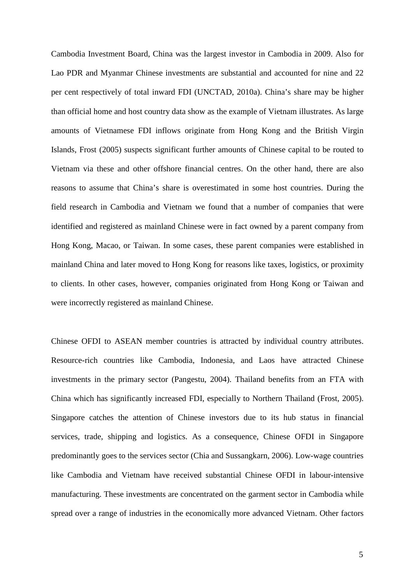Cambodia Investment Board, China was the largest investor in Cambodia in 2009. Also for Lao PDR and Myanmar Chinese investments are substantial and accounted for nine and 22 per cent respectively of total inward FDI (UNCTAD, 2010a). China's share may be higher than official home and host country data show as the example of Vietnam illustrates. As large amounts of Vietnamese FDI inflows originate from Hong Kong and the British Virgin Islands, Frost (2005) suspects significant further amounts of Chinese capital to be routed to Vietnam via these and other offshore financial centres. On the other hand, there are also reasons to assume that China's share is overestimated in some host countries. During the field research in Cambodia and Vietnam we found that a number of companies that were identified and registered as mainland Chinese were in fact owned by a parent company from Hong Kong, Macao, or Taiwan. In some cases, these parent companies were established in mainland China and later moved to Hong Kong for reasons like taxes, logistics, or proximity to clients. In other cases, however, companies originated from Hong Kong or Taiwan and were incorrectly registered as mainland Chinese.

Chinese OFDI to ASEAN member countries is attracted by individual country attributes. Resource-rich countries like Cambodia, Indonesia, and Laos have attracted Chinese investments in the primary sector (Pangestu, 2004). Thailand benefits from an FTA with China which has significantly increased FDI, especially to Northern Thailand (Frost, 2005). Singapore catches the attention of Chinese investors due to its hub status in financial services, trade, shipping and logistics. As a consequence, Chinese OFDI in Singapore predominantly goes to the services sector (Chia and Sussangkarn, 2006). Low-wage countries like Cambodia and Vietnam have received substantial Chinese OFDI in labour-intensive manufacturing. These investments are concentrated on the garment sector in Cambodia while spread over a range of industries in the economically more advanced Vietnam. Other factors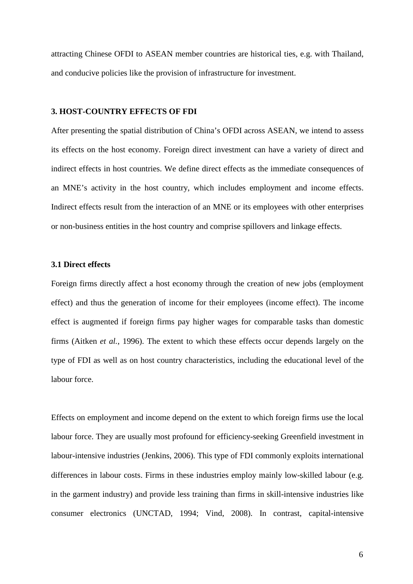attracting Chinese OFDI to ASEAN member countries are historical ties, e.g. with Thailand, and conducive policies like the provision of infrastructure for investment.

### **3. HOST-COUNTRY EFFECTS OF FDI**

After presenting the spatial distribution of China's OFDI across ASEAN, we intend to assess its effects on the host economy. Foreign direct investment can have a variety of direct and indirect effects in host countries. We define direct effects as the immediate consequences of an MNE's activity in the host country, which includes employment and income effects. Indirect effects result from the interaction of an MNE or its employees with other enterprises or non-business entities in the host country and comprise spillovers and linkage effects.

#### **3.1 Direct effects**

Foreign firms directly affect a host economy through the creation of new jobs (employment effect) and thus the generation of income for their employees (income effect). The income effect is augmented if foreign firms pay higher wages for comparable tasks than domestic firms (Aitken *et al.*, 1996). The extent to which these effects occur depends largely on the type of FDI as well as on host country characteristics, including the educational level of the labour force.

Effects on employment and income depend on the extent to which foreign firms use the local labour force. They are usually most profound for efficiency-seeking Greenfield investment in labour-intensive industries (Jenkins, 2006). This type of FDI commonly exploits international differences in labour costs. Firms in these industries employ mainly low-skilled labour (e.g. in the garment industry) and provide less training than firms in skill-intensive industries like consumer electronics (UNCTAD, 1994; Vind, 2008). In contrast, capital-intensive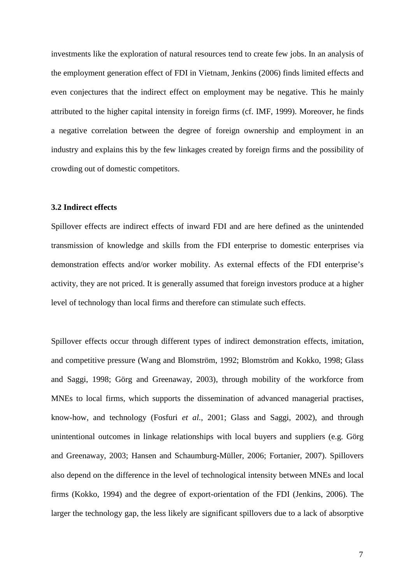investments like the exploration of natural resources tend to create few jobs. In an analysis of the employment generation effect of FDI in Vietnam, Jenkins (2006) finds limited effects and even conjectures that the indirect effect on employment may be negative. This he mainly attributed to the higher capital intensity in foreign firms (cf. IMF, 1999). Moreover, he finds a negative correlation between the degree of foreign ownership and employment in an industry and explains this by the few linkages created by foreign firms and the possibility of crowding out of domestic competitors.

#### **3.2 Indirect effects**

Spillover effects are indirect effects of inward FDI and are here defined as the unintended transmission of knowledge and skills from the FDI enterprise to domestic enterprises via demonstration effects and/or worker mobility. As external effects of the FDI enterprise's activity, they are not priced. It is generally assumed that foreign investors produce at a higher level of technology than local firms and therefore can stimulate such effects.

Spillover effects occur through different types of indirect demonstration effects, imitation, and competitive pressure (Wang and Blomström, 1992; Blomström and Kokko, 1998; Glass and Saggi, 1998; Görg and Greenaway, 2003), through mobility of the workforce from MNEs to local firms, which supports the dissemination of advanced managerial practises, know-how, and technology (Fosfuri *et al.*, 2001; Glass and Saggi, 2002), and through unintentional outcomes in linkage relationships with local buyers and suppliers (e.g. Görg and Greenaway, 2003; Hansen and Schaumburg-Müller, 2006; Fortanier, 2007). Spillovers also depend on the difference in the level of technological intensity between MNEs and local firms (Kokko, 1994) and the degree of export-orientation of the FDI (Jenkins, 2006). The larger the technology gap, the less likely are significant spillovers due to a lack of absorptive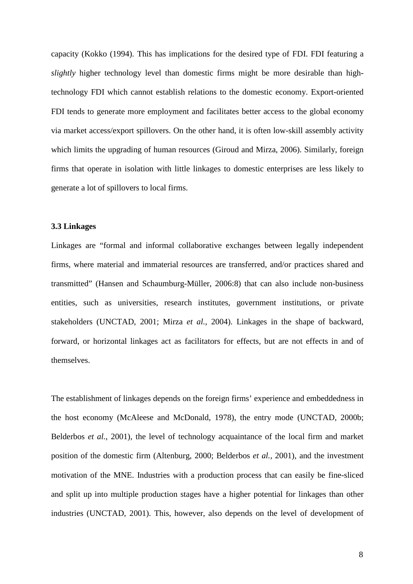capacity (Kokko (1994). This has implications for the desired type of FDI. FDI featuring a *slightly* higher technology level than domestic firms might be more desirable than hightechnology FDI which cannot establish relations to the domestic economy. Export-oriented FDI tends to generate more employment and facilitates better access to the global economy via market access/export spillovers. On the other hand, it is often low-skill assembly activity which limits the upgrading of human resources (Giroud and Mirza, 2006). Similarly, foreign firms that operate in isolation with little linkages to domestic enterprises are less likely to generate a lot of spillovers to local firms.

#### **3.3 Linkages**

Linkages are "formal and informal collaborative exchanges between legally independent firms, where material and immaterial resources are transferred, and/or practices shared and transmitted" (Hansen and Schaumburg-Müller, 2006:8) that can also include non-business entities, such as universities, research institutes, government institutions, or private stakeholders (UNCTAD, 2001; Mirza *et al.*, 2004). Linkages in the shape of backward, forward, or horizontal linkages act as facilitators for effects, but are not effects in and of themselves.

The establishment of linkages depends on the foreign firms' experience and embeddedness in the host economy (McAleese and McDonald, 1978), the entry mode (UNCTAD, 2000b; Belderbos *et al.*, 2001), the level of technology acquaintance of the local firm and market position of the domestic firm (Altenburg, 2000; Belderbos *et al.*, 2001), and the investment motivation of the MNE. Industries with a production process that can easily be fine-sliced and split up into multiple production stages have a higher potential for linkages than other industries (UNCTAD, 2001). This, however, also depends on the level of development of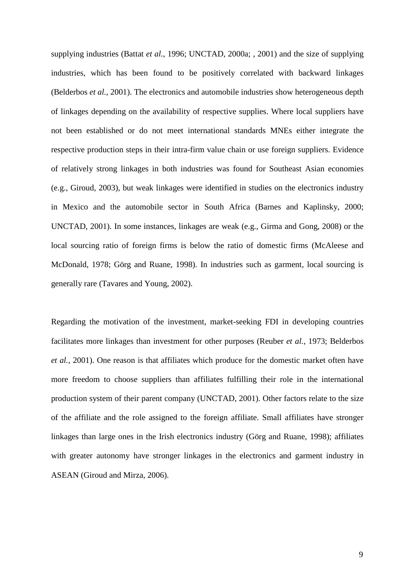supplying industries (Battat *et al.*, 1996; UNCTAD, 2000a; , 2001) and the size of supplying industries, which has been found to be positively correlated with backward linkages (Belderbos *et al.*, 2001). The electronics and automobile industries show heterogeneous depth of linkages depending on the availability of respective supplies. Where local suppliers have not been established or do not meet international standards MNEs either integrate the respective production steps in their intra-firm value chain or use foreign suppliers. Evidence of relatively strong linkages in both industries was found for Southeast Asian economies (e.g., Giroud, 2003), but weak linkages were identified in studies on the electronics industry in Mexico and the automobile sector in South Africa (Barnes and Kaplinsky, 2000; UNCTAD, 2001). In some instances, linkages are weak (e.g., Girma and Gong, 2008) or the local sourcing ratio of foreign firms is below the ratio of domestic firms (McAleese and McDonald, 1978; Görg and Ruane, 1998). In industries such as garment, local sourcing is generally rare (Tavares and Young, 2002).

Regarding the motivation of the investment, market-seeking FDI in developing countries facilitates more linkages than investment for other purposes (Reuber *et al.*, 1973; Belderbos *et al.*, 2001). One reason is that affiliates which produce for the domestic market often have more freedom to choose suppliers than affiliates fulfilling their role in the international production system of their parent company (UNCTAD, 2001). Other factors relate to the size of the affiliate and the role assigned to the foreign affiliate. Small affiliates have stronger linkages than large ones in the Irish electronics industry (Görg and Ruane, 1998); affiliates with greater autonomy have stronger linkages in the electronics and garment industry in ASEAN (Giroud and Mirza, 2006).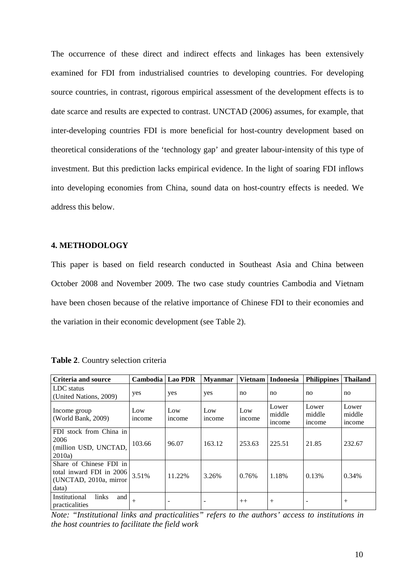The occurrence of these direct and indirect effects and linkages has been extensively examined for FDI from industrialised countries to developing countries. For developing source countries, in contrast, rigorous empirical assessment of the development effects is to date scarce and results are expected to contrast. UNCTAD (2006) assumes, for example, that inter-developing countries FDI is more beneficial for host-country development based on theoretical considerations of the 'technology gap' and greater labour-intensity of this type of investment. But this prediction lacks empirical evidence. In the light of soaring FDI inflows into developing economies from China, sound data on host-country effects is needed. We address this below.

#### **4. METHODOLOGY**

This paper is based on field research conducted in Southeast Asia and China between October 2008 and November 2009. The two case study countries Cambodia and Vietnam have been chosen because of the relative importance of Chinese FDI to their economies and the variation in their economic development (see Table 2).

| <b>Criteria and source</b>                                                             | Cambodia      | <b>Lao PDR</b>               | <b>Myanmar</b>      |               | Vietnam   Indonesia       | <b>Philippines</b>        | <b>Thailand</b>           |
|----------------------------------------------------------------------------------------|---------------|------------------------------|---------------------|---------------|---------------------------|---------------------------|---------------------------|
| LDC status<br>(United Nations, 2009)                                                   | yes           | yes                          | yes                 | no            | no                        | no                        | no                        |
| Income group<br>(World Bank, 2009)                                                     | Low<br>income | Low<br>income                | Low<br><i>ncome</i> | Low<br>income | Lower<br>middle<br>income | Lower<br>middle<br>income | Lower<br>middle<br>income |
| FDI stock from China in<br>2006<br>(million USD, UNCTAD,<br>2010a)                     | 103.66        | 96.07                        | 163.12              | 253.63        | 225.51                    | 21.85                     | 232.67                    |
| Share of Chinese FDI in<br>total inward FDI in 2006<br>(UNCTAD, 2010a, mirror<br>data) | 3.51%         | 11.22%                       | 3.26%               | 0.76%         | 1.18%                     | 0.13%                     | 0.34%                     |
| Institutional<br><i>links</i><br>and<br>practicalities                                 | $+$           | $\qquad \qquad \blacksquare$ | -                   | $++$          | $+$                       |                           | $^{+}$                    |

**Table 2**. Country selection criteria

*Note: "Institutional links and practicalities" refers to the authors' access to institutions in the host countries to facilitate the field work*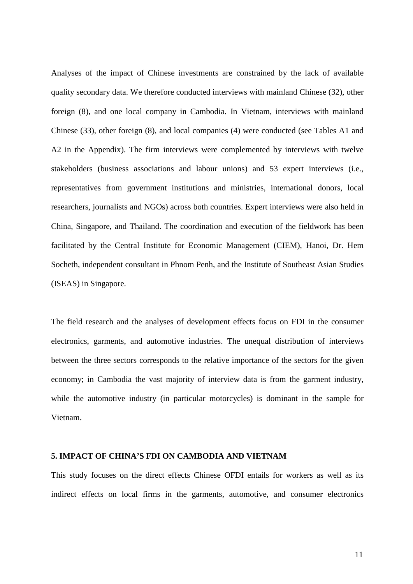Analyses of the impact of Chinese investments are constrained by the lack of available quality secondary data. We therefore conducted interviews with mainland Chinese (32), other foreign (8), and one local company in Cambodia. In Vietnam, interviews with mainland Chinese (33), other foreign (8), and local companies (4) were conducted (see Tables A1 and A2 in the Appendix). The firm interviews were complemented by interviews with twelve stakeholders (business associations and labour unions) and 53 expert interviews (i.e., representatives from government institutions and ministries, international donors, local researchers, journalists and NGOs) across both countries. Expert interviews were also held in China, Singapore, and Thailand. The coordination and execution of the fieldwork has been facilitated by the Central Institute for Economic Management (CIEM), Hanoi, Dr. Hem Socheth, independent consultant in Phnom Penh, and the Institute of Southeast Asian Studies (ISEAS) in Singapore.

The field research and the analyses of development effects focus on FDI in the consumer electronics, garments, and automotive industries. The unequal distribution of interviews between the three sectors corresponds to the relative importance of the sectors for the given economy; in Cambodia the vast majority of interview data is from the garment industry, while the automotive industry (in particular motorcycles) is dominant in the sample for Vietnam.

#### **5. IMPACT OF CHINA'S FDI ON CAMBODIA AND VIETNAM**

This study focuses on the direct effects Chinese OFDI entails for workers as well as its indirect effects on local firms in the garments, automotive, and consumer electronics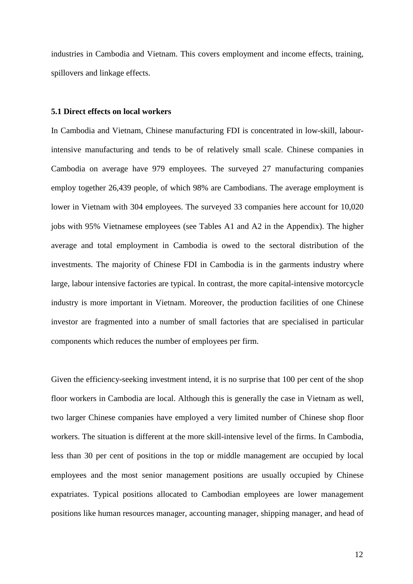industries in Cambodia and Vietnam. This covers employment and income effects, training, spillovers and linkage effects.

# **5.1 Direct effects on local workers**

In Cambodia and Vietnam, Chinese manufacturing FDI is concentrated in low-skill, labourintensive manufacturing and tends to be of relatively small scale. Chinese companies in Cambodia on average have 979 employees. The surveyed 27 manufacturing companies employ together 26,439 people, of which 98% are Cambodians. The average employment is lower in Vietnam with 304 employees. The surveyed 33 companies here account for 10,020 jobs with 95% Vietnamese employees (see Tables A1 and A2 in the Appendix). The higher average and total employment in Cambodia is owed to the sectoral distribution of the investments. The majority of Chinese FDI in Cambodia is in the garments industry where large, labour intensive factories are typical. In contrast, the more capital-intensive motorcycle industry is more important in Vietnam. Moreover, the production facilities of one Chinese investor are fragmented into a number of small factories that are specialised in particular components which reduces the number of employees per firm.

Given the efficiency-seeking investment intend, it is no surprise that 100 per cent of the shop floor workers in Cambodia are local. Although this is generally the case in Vietnam as well, two larger Chinese companies have employed a very limited number of Chinese shop floor workers. The situation is different at the more skill-intensive level of the firms. In Cambodia, less than 30 per cent of positions in the top or middle management are occupied by local employees and the most senior management positions are usually occupied by Chinese expatriates. Typical positions allocated to Cambodian employees are lower management positions like human resources manager, accounting manager, shipping manager, and head of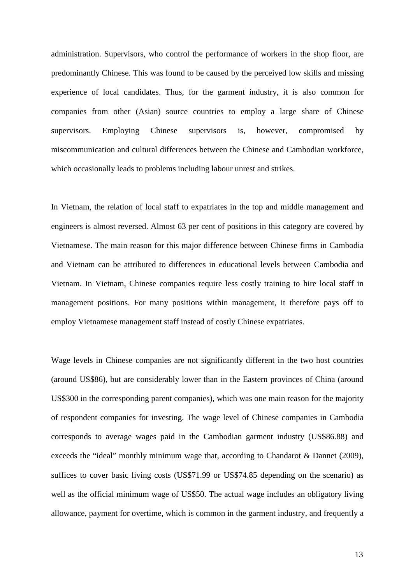administration. Supervisors, who control the performance of workers in the shop floor, are predominantly Chinese. This was found to be caused by the perceived low skills and missing experience of local candidates. Thus, for the garment industry, it is also common for companies from other (Asian) source countries to employ a large share of Chinese supervisors. Employing Chinese supervisors is, however, compromised by miscommunication and cultural differences between the Chinese and Cambodian workforce, which occasionally leads to problems including labour unrest and strikes.

In Vietnam, the relation of local staff to expatriates in the top and middle management and engineers is almost reversed. Almost 63 per cent of positions in this category are covered by Vietnamese. The main reason for this major difference between Chinese firms in Cambodia and Vietnam can be attributed to differences in educational levels between Cambodia and Vietnam. In Vietnam, Chinese companies require less costly training to hire local staff in management positions. For many positions within management, it therefore pays off to employ Vietnamese management staff instead of costly Chinese expatriates.

Wage levels in Chinese companies are not significantly different in the two host countries (around US\$86), but are considerably lower than in the Eastern provinces of China (around US\$300 in the corresponding parent companies), which was one main reason for the majority of respondent companies for investing. The wage level of Chinese companies in Cambodia corresponds to average wages paid in the Cambodian garment industry (US\$86.88) and exceeds the "ideal" monthly minimum wage that, according to Chandarot & Dannet (2009), suffices to cover basic living costs (US\$71.99 or US\$74.85 depending on the scenario) as well as the official minimum wage of US\$50. The actual wage includes an obligatory living allowance, payment for overtime, which is common in the garment industry, and frequently a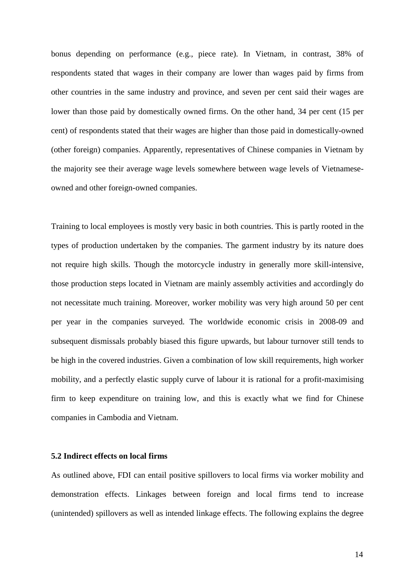bonus depending on performance (e.g., piece rate). In Vietnam, in contrast, 38% of respondents stated that wages in their company are lower than wages paid by firms from other countries in the same industry and province, and seven per cent said their wages are lower than those paid by domestically owned firms. On the other hand, 34 per cent (15 per cent) of respondents stated that their wages are higher than those paid in domestically-owned (other foreign) companies. Apparently, representatives of Chinese companies in Vietnam by the majority see their average wage levels somewhere between wage levels of Vietnameseowned and other foreign-owned companies.

Training to local employees is mostly very basic in both countries. This is partly rooted in the types of production undertaken by the companies. The garment industry by its nature does not require high skills. Though the motorcycle industry in generally more skill-intensive, those production steps located in Vietnam are mainly assembly activities and accordingly do not necessitate much training. Moreover, worker mobility was very high around 50 per cent per year in the companies surveyed. The worldwide economic crisis in 2008-09 and subsequent dismissals probably biased this figure upwards, but labour turnover still tends to be high in the covered industries. Given a combination of low skill requirements, high worker mobility, and a perfectly elastic supply curve of labour it is rational for a profit-maximising firm to keep expenditure on training low, and this is exactly what we find for Chinese companies in Cambodia and Vietnam.

#### **5.2 Indirect effects on local firms**

As outlined above, FDI can entail positive spillovers to local firms via worker mobility and demonstration effects. Linkages between foreign and local firms tend to increase (unintended) spillovers as well as intended linkage effects. The following explains the degree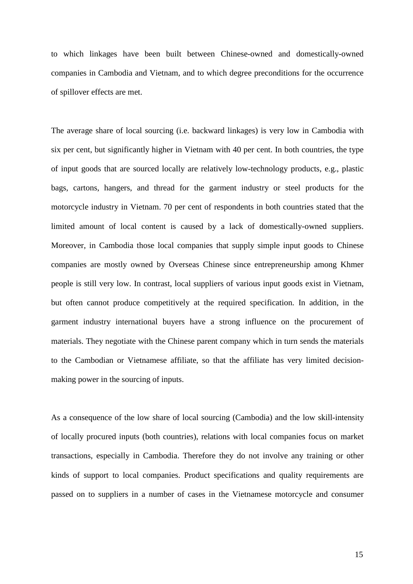to which linkages have been built between Chinese-owned and domestically-owned companies in Cambodia and Vietnam, and to which degree preconditions for the occurrence of spillover effects are met.

The average share of local sourcing (i.e. backward linkages) is very low in Cambodia with six per cent, but significantly higher in Vietnam with 40 per cent. In both countries, the type of input goods that are sourced locally are relatively low-technology products, e.g., plastic bags, cartons, hangers, and thread for the garment industry or steel products for the motorcycle industry in Vietnam. 70 per cent of respondents in both countries stated that the limited amount of local content is caused by a lack of domestically-owned suppliers. Moreover, in Cambodia those local companies that supply simple input goods to Chinese companies are mostly owned by Overseas Chinese since entrepreneurship among Khmer people is still very low. In contrast, local suppliers of various input goods exist in Vietnam, but often cannot produce competitively at the required specification. In addition, in the garment industry international buyers have a strong influence on the procurement of materials. They negotiate with the Chinese parent company which in turn sends the materials to the Cambodian or Vietnamese affiliate, so that the affiliate has very limited decisionmaking power in the sourcing of inputs.

As a consequence of the low share of local sourcing (Cambodia) and the low skill-intensity of locally procured inputs (both countries), relations with local companies focus on market transactions, especially in Cambodia. Therefore they do not involve any training or other kinds of support to local companies. Product specifications and quality requirements are passed on to suppliers in a number of cases in the Vietnamese motorcycle and consumer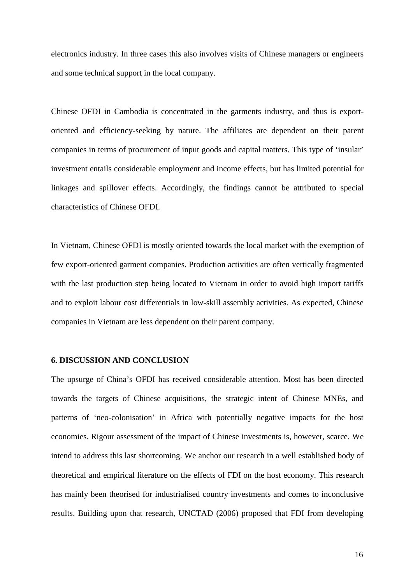electronics industry. In three cases this also involves visits of Chinese managers or engineers and some technical support in the local company.

Chinese OFDI in Cambodia is concentrated in the garments industry, and thus is exportoriented and efficiency-seeking by nature. The affiliates are dependent on their parent companies in terms of procurement of input goods and capital matters. This type of 'insular' investment entails considerable employment and income effects, but has limited potential for linkages and spillover effects. Accordingly, the findings cannot be attributed to special characteristics of Chinese OFDI.

In Vietnam, Chinese OFDI is mostly oriented towards the local market with the exemption of few export-oriented garment companies. Production activities are often vertically fragmented with the last production step being located to Vietnam in order to avoid high import tariffs and to exploit labour cost differentials in low-skill assembly activities. As expected, Chinese companies in Vietnam are less dependent on their parent company.

#### **6. DISCUSSION AND CONCLUSION**

The upsurge of China's OFDI has received considerable attention. Most has been directed towards the targets of Chinese acquisitions, the strategic intent of Chinese MNEs, and patterns of 'neo-colonisation' in Africa with potentially negative impacts for the host economies. Rigour assessment of the impact of Chinese investments is, however, scarce. We intend to address this last shortcoming. We anchor our research in a well established body of theoretical and empirical literature on the effects of FDI on the host economy. This research has mainly been theorised for industrialised country investments and comes to inconclusive results. Building upon that research, UNCTAD (2006) proposed that FDI from developing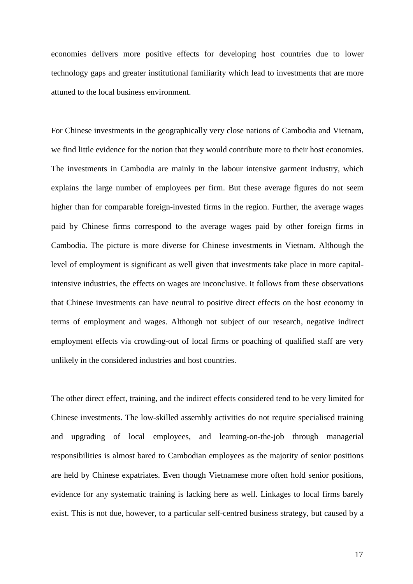economies delivers more positive effects for developing host countries due to lower technology gaps and greater institutional familiarity which lead to investments that are more attuned to the local business environment.

For Chinese investments in the geographically very close nations of Cambodia and Vietnam, we find little evidence for the notion that they would contribute more to their host economies. The investments in Cambodia are mainly in the labour intensive garment industry, which explains the large number of employees per firm. But these average figures do not seem higher than for comparable foreign-invested firms in the region. Further, the average wages paid by Chinese firms correspond to the average wages paid by other foreign firms in Cambodia. The picture is more diverse for Chinese investments in Vietnam. Although the level of employment is significant as well given that investments take place in more capitalintensive industries, the effects on wages are inconclusive. It follows from these observations that Chinese investments can have neutral to positive direct effects on the host economy in terms of employment and wages. Although not subject of our research, negative indirect employment effects via crowding-out of local firms or poaching of qualified staff are very unlikely in the considered industries and host countries.

The other direct effect, training, and the indirect effects considered tend to be very limited for Chinese investments. The low-skilled assembly activities do not require specialised training and upgrading of local employees, and learning-on-the-job through managerial responsibilities is almost bared to Cambodian employees as the majority of senior positions are held by Chinese expatriates. Even though Vietnamese more often hold senior positions, evidence for any systematic training is lacking here as well. Linkages to local firms barely exist. This is not due, however, to a particular self-centred business strategy, but caused by a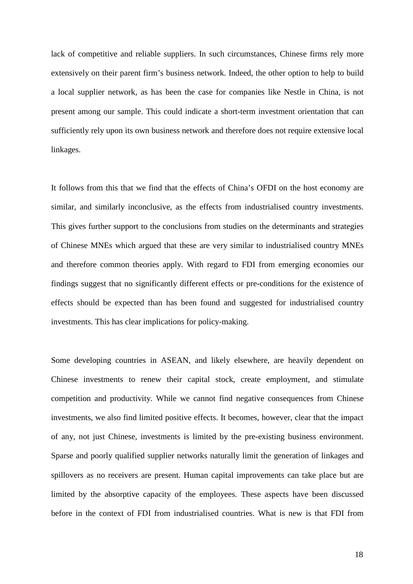lack of competitive and reliable suppliers. In such circumstances, Chinese firms rely more extensively on their parent firm's business network. Indeed, the other option to help to build a local supplier network, as has been the case for companies like Nestle in China, is not present among our sample. This could indicate a short-term investment orientation that can sufficiently rely upon its own business network and therefore does not require extensive local linkages.

It follows from this that we find that the effects of China's OFDI on the host economy are similar, and similarly inconclusive, as the effects from industrialised country investments. This gives further support to the conclusions from studies on the determinants and strategies of Chinese MNEs which argued that these are very similar to industrialised country MNEs and therefore common theories apply. With regard to FDI from emerging economies our findings suggest that no significantly different effects or pre-conditions for the existence of effects should be expected than has been found and suggested for industrialised country investments. This has clear implications for policy-making.

Some developing countries in ASEAN, and likely elsewhere, are heavily dependent on Chinese investments to renew their capital stock, create employment, and stimulate competition and productivity. While we cannot find negative consequences from Chinese investments, we also find limited positive effects. It becomes, however, clear that the impact of any, not just Chinese, investments is limited by the pre-existing business environment. Sparse and poorly qualified supplier networks naturally limit the generation of linkages and spillovers as no receivers are present. Human capital improvements can take place but are limited by the absorptive capacity of the employees. These aspects have been discussed before in the context of FDI from industrialised countries. What is new is that FDI from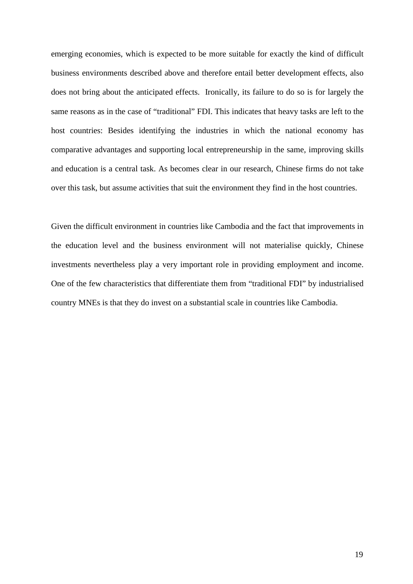emerging economies, which is expected to be more suitable for exactly the kind of difficult business environments described above and therefore entail better development effects, also does not bring about the anticipated effects. Ironically, its failure to do so is for largely the same reasons as in the case of "traditional" FDI. This indicates that heavy tasks are left to the host countries: Besides identifying the industries in which the national economy has comparative advantages and supporting local entrepreneurship in the same, improving skills and education is a central task. As becomes clear in our research, Chinese firms do not take over this task, but assume activities that suit the environment they find in the host countries.

Given the difficult environment in countries like Cambodia and the fact that improvements in the education level and the business environment will not materialise quickly, Chinese investments nevertheless play a very important role in providing employment and income. One of the few characteristics that differentiate them from "traditional FDI" by industrialised country MNEs is that they do invest on a substantial scale in countries like Cambodia.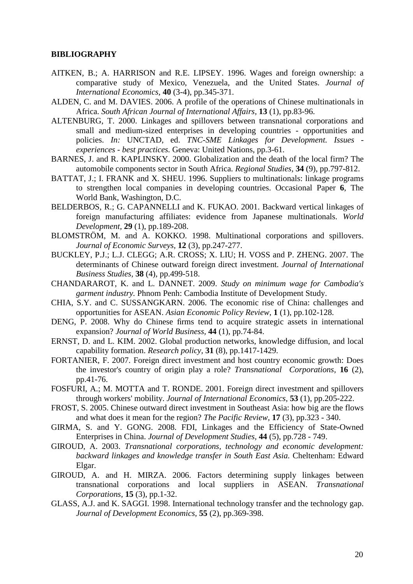# **BIBLIOGRAPHY**

- AITKEN, B.; A. HARRISON and R.E. LIPSEY. 1996. Wages and foreign ownership: a comparative study of Mexico, Venezuela, and the United States. *Journal of International Economics,* **40** (3-4), pp.345-371.
- ALDEN, C. and M. DAVIES. 2006. A profile of the operations of Chinese multinationals in Africa. *South African Journal of International Affairs,* **13** (1), pp.83-96.
- ALTENBURG, T. 2000. Linkages and spillovers between transnational corporations and small and medium-sized enterprises in developing countries - opportunities and policies. *In:* UNCTAD, ed. *TNC-SME Linkages for Development. Issues experiences - best practices.* Geneva: United Nations, pp.3-61.
- BARNES, J. and R. KAPLINSKY. 2000. Globalization and the death of the local firm? The automobile components sector in South Africa. *Regional Studies,* **34** (9), pp.797-812.
- BATTAT, J.; I. FRANK and X. SHEU. 1996. Suppliers to multinationals: linkage programs to strengthen local companies in developing countries. Occasional Paper **6**, The World Bank, Washington, D.C.
- BELDERBOS, R.; G. CAPANNELLI and K. FUKAO. 2001. Backward vertical linkages of foreign manufacturing affiliates: evidence from Japanese multinationals. *World Development,* **29** (1), pp.189-208.
- BLOMSTRÖM, M. and A. KOKKO. 1998. Multinational corporations and spillovers. *Journal of Economic Surveys,* **12** (3), pp.247-277.
- BUCKLEY, P.J.; L.J. CLEGG; A.R. CROSS; X. LIU; H. VOSS and P. ZHENG. 2007. The determinants of Chinese outward foreign direct investment. *Journal of International Business Studies,* **38** (4), pp.499-518.
- CHANDARAROT, K. and L. DANNET. 2009. *Study on minimum wage for Cambodia's garment industry.* Phnom Penh: Cambodia Institute of Development Study.
- CHIA, S.Y. and C. SUSSANGKARN. 2006. The economic rise of China: challenges and opportunities for ASEAN. *Asian Economic Policy Review,* **1** (1), pp.102-128.
- DENG, P. 2008. Why do Chinese firms tend to acquire strategic assets in international expansion? *Journal of World Business,* **44** (1), pp.74-84.
- ERNST, D. and L. KIM. 2002. Global production networks, knowledge diffusion, and local capability formation. *Research policy,* **31** (8), pp.1417-1429.
- FORTANIER, F. 2007. Foreign direct investment and host country economic growth: Does the investor's country of origin play a role? *Transnational Corporations,* **16** (2), pp.41-76.
- FOSFURI, A.; M. MOTTA and T. RONDE. 2001. Foreign direct investment and spillovers through workers' mobility. *Journal of International Economics,* **53** (1), pp.205-222.
- FROST, S. 2005. Chinese outward direct investment in Southeast Asia: how big are the flows and what does it mean for the region? *The Pacific Review,* **17** (3), pp.323 - 340.
- GIRMA, S. and Y. GONG. 2008. FDI, Linkages and the Efficiency of State-Owned Enterprises in China. *Journal of Development Studies,* **44** (5), pp.728 - 749.
- GIROUD, A. 2003. *Transnational corporations, technology and economic development: backward linkages and knowledge transfer in South East Asia.* Cheltenham: Edward Elgar.
- GIROUD, A. and H. MIRZA. 2006. Factors determining supply linkages between transnational corporations and local suppliers in ASEAN. *Transnational Corporations,* **15** (3), pp.1-32.
- GLASS, A.J. and K. SAGGI. 1998. International technology transfer and the technology gap. *Journal of Development Economics,* **55** (2), pp.369-398.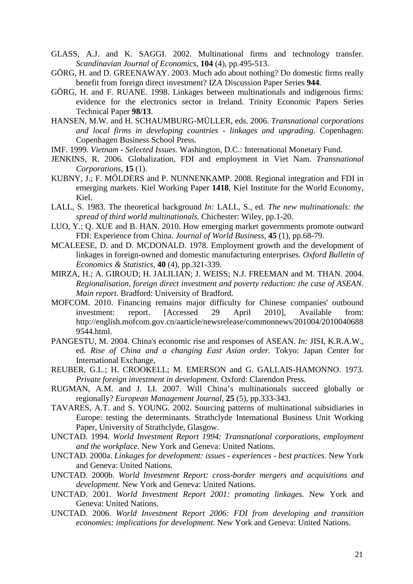- GLASS, A.J. and K. SAGGI. 2002. Multinational firms and technology transfer. *Scandinavian Journal of Economics,* **104** (4), pp.495-513.
- GÖRG, H. and D. GREENAWAY. 2003. Much ado about nothing? Do domestic firms really benefit from foreign direct investment? IZA Discussion Paper Series **944**.
- GÖRG, H. and F. RUANE. 1998. Linkages between multinationals and indigenous firms: evidence for the electronics sector in Ireland. Trinity Economic Papers Series Technical Paper **98/13**.
- HANSEN, M.W. and H. SCHAUMBURG-MÜLLER, eds. 2006. *Transnational corporations and local firms in developing countries - linkages and upgrading.* Copenhagen: Copenhagen Business School Press.
- IMF. 1999. *Vietnam - Selected Issues.* Washington, D.C.: International Monetary Fund.
- JENKINS, R. 2006. Globalization, FDI and employment in Viet Nam. *Transnational Corporations,* **15** (1).
- KUBNY, J.; F. MÖLDERS and P. NUNNENKAMP. 2008. Regional integration and FDI in emerging markets. Kiel Working Paper **1418**, Kiel Institute for the World Economy, Kiel.
- LALL, S. 1983. The theoretical background *In:* LALL, S., ed. *The new multinationals: the spread of third world multinationals.* Chichester: Wiley, pp.1-20.
- LUO, Y.; Q. XUE and B. HAN. 2010. How emerging market governments promote outward FDI: Experience from China. *Journal of World Business,* **45** (1), pp.68-79.
- MCALEESE, D. and D. MCDONALD. 1978. Employment growth and the development of linkages in foreign-owned and domestic manufacturing enterprises. *Oxford Bulletin of Economics & Statistics,* **40** (4), pp.321-339.
- MIRZA, H.; A. GIROUD; H. JALILIAN; J. WEISS; N.J. FREEMAN and M. THAN. 2004. *Regionalisation, foreign direct investment and poverty reduction: the case of ASEAN. Main report.* Bradford: University of Bradford.
- MOFCOM. 2010. Financing remains major difficulty for Chinese companies' outbound investment: report. [Accessed 29 April 2010], Available from: http://english.mofcom.gov.cn/aarticle/newsrelease/commonnews/201004/2010040688 9544.html.
- PANGESTU, M. 2004. China's economic rise and responses of ASEAN. *In:* JISI, K.R.A.W., ed. *Rise of China and a changing East Asian order.* Tokyo: Japan Center for International Exchange,
- REUBER, G.L.; H. CROOKELL; M. EMERSON and G. GALLAIS-HAMONNO. 1973. *Private foreign investment in development.* Oxford: Clarendon Press.
- RUGMAN, A.M. and J. LI. 2007. Will China's multinationals succeed globally or regionally? *European Management Journal,* **25** (5), pp.333-343.
- TAVARES, A.T. and S. YOUNG. 2002. Sourcing patterns of multinational subsidiaries in Europe: testing the determinants. Strathclyde International Business Unit Working Paper, University of Strathclyde, Glasgow.
- UNCTAD. 1994. *World Investment Report 1994: Transnational corporations, employment and the workplace.* New York and Geneva: United Nations.
- UNCTAD. 2000a. *Linkages for development: issues - experiences - best practices.* New York and Geneva: United Nations.
- UNCTAD. 2000b. *World Investment Report: cross-border mergers and acquisitions and development.* New York and Geneva: United Nations.
- UNCTAD. 2001. *World Investment Report 2001: promoting linkages.* New York and Geneva: United Nations.
- UNCTAD. 2006. *World Investment Report 2006: FDI from developing and transition economies: implications for development.* New York and Geneva: United Nations.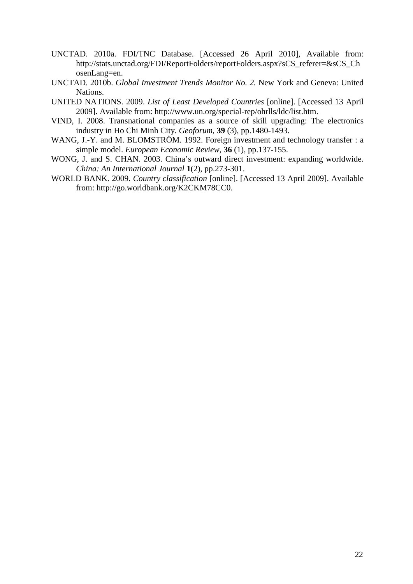- UNCTAD. 2010a. FDI/TNC Database. [Accessed 26 April 2010], Available from: http://stats.unctad.org/FDI/ReportFolders/reportFolders.aspx?sCS\_referer=&sCS\_Ch osenLang=en.
- UNCTAD. 2010b. *Global Investment Trends Monitor No. 2.* New York and Geneva: United Nations.
- UNITED NATIONS. 2009. *List of Least Developed Countries* [online]. [Accessed 13 April 2009]. Available from: http://www.un.org/special-rep/ohrlls/ldc/list.htm.
- VIND, I. 2008. Transnational companies as a source of skill upgrading: The electronics industry in Ho Chi Minh City. *Geoforum,* **39** (3), pp.1480-1493.
- WANG, J.-Y. and M. BLOMSTRÖM. 1992. Foreign investment and technology transfer : a simple model. *European Economic Review,* **36** (1), pp.137-155.
- WONG, J. and S. CHAN. 2003. China's outward direct investment: expanding worldwide. *China: An International Journal* **1**(2), pp.273-301.
- WORLD BANK. 2009. *Country classification* [online]. [Accessed 13 April 2009]. Available from: http://go.worldbank.org/K2CKM78CC0.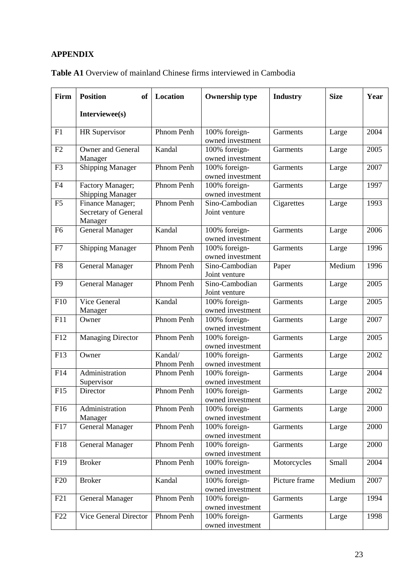# **APPENDIX**

| <b>Table A1</b> Overview of mainland Chinese firms interviewed in Cambodia |  |
|----------------------------------------------------------------------------|--|
|----------------------------------------------------------------------------|--|

| Firm           | <b>Position</b><br><b>of</b>                        | Location              | <b>Ownership type</b>                           | <b>Industry</b> | <b>Size</b> | Year |
|----------------|-----------------------------------------------------|-----------------------|-------------------------------------------------|-----------------|-------------|------|
|                | Interviewee(s)                                      |                       |                                                 |                 |             |      |
| F1             | <b>HR</b> Supervisor                                | Phnom Penh            | 100% foreign-<br>owned investment               | Garments        | Large       | 2004 |
| F2             | <b>Owner and General</b><br>Manager                 | Kandal                | 100% foreign-<br>owned investment               | Garments        | Large       | 2005 |
| F <sub>3</sub> | <b>Shipping Manager</b>                             | Phnom Penh            | 100% foreign-<br>owned investment               | Garments        | Large       | 2007 |
| F <sub>4</sub> | Factory Manager;<br><b>Shipping Manager</b>         | Phnom Penh            | 100% foreign-<br>owned investment               | Garments        | Large       | 1997 |
| F <sub>5</sub> | Finance Manager;<br>Secretary of General<br>Manager | Phnom Penh            | Sino-Cambodian<br>Joint venture                 | Cigarettes      | Large       | 1993 |
| F <sub>6</sub> | <b>General Manager</b>                              | Kandal                | 100% foreign-<br>owned investment               | Garments        | Large       | 2006 |
| ${\rm F}7$     | <b>Shipping Manager</b>                             | Phnom Penh            | 100% foreign-<br>owned investment               | Garments        | Large       | 1996 |
| F <sub>8</sub> | <b>General Manager</b>                              | Phnom Penh            | Sino-Cambodian<br>Joint venture                 | Paper           | Medium      | 1996 |
| F <sub>9</sub> | <b>General Manager</b>                              | Phnom Penh            | Sino-Cambodian<br>Joint venture                 | <b>Garments</b> | Large       | 2005 |
| F10            | Vice General<br>Manager                             | Kandal                | 100% foreign-<br>owned investment               | Garments        | Large       | 2005 |
| F11            | Owner                                               | Phnom Penh            | 100% foreign-<br>owned investment               | Garments        | Large       | 2007 |
| F12            | <b>Managing Director</b>                            | Phnom Penh            | 100% foreign-<br>owned investment               | Garments        | Large       | 2005 |
| F13            | Owner                                               | Kandal/<br>Phnom Penh | 100% foreign-<br>owned investment               | Garments        | Large       | 2002 |
| F14            | Administration<br>Supervisor                        | Phnom Penh            | 100% foreign-<br>owned investment               | Garments        | Large       | 2004 |
| F15            | Director                                            | Phnom Penh            | 100% foreign-<br>owned investment               | Garments        | Large       | 2002 |
| F16            | Administration<br>Manager                           | Phnom Penh            | 100% foreign-<br>owned investment               | Garments        | Large       | 2000 |
| F17            | <b>General Manager</b>                              | Phnom Penh            | $\overline{100\%}$ foreign-<br>owned investment | Garments        | Large       | 2000 |
| F18            | <b>General Manager</b>                              | Phnom Penh            | 100% foreign-<br>owned investment               | Garments        | Large       | 2000 |
| F19            | <b>Broker</b>                                       | Phnom Penh            | 100% foreign-<br>owned investment               | Motorcycles     | Small       | 2004 |
| F20            | <b>Broker</b>                                       | Kandal                | 100% foreign-<br>owned investment               | Picture frame   | Medium      | 2007 |
| F21            | <b>General Manager</b>                              | Phnom Penh            | 100% foreign-<br>owned investment               | Garments        | Large       | 1994 |
| F22            | Vice General Director                               | Phnom Penh            | 100% foreign-<br>owned investment               | Garments        | Large       | 1998 |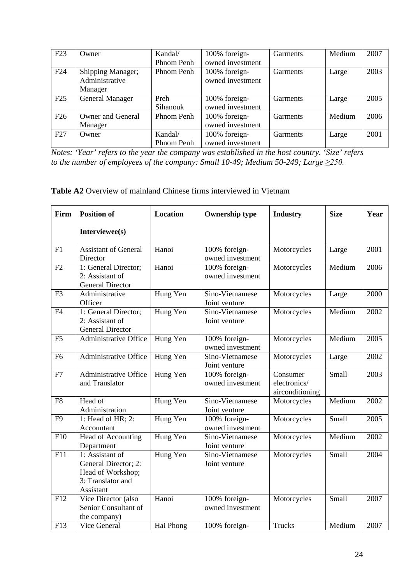| F23             | Owner                                          | Kandal/               | 100% foreign-                     | <b>Garments</b> | Medium | 2007 |
|-----------------|------------------------------------------------|-----------------------|-----------------------------------|-----------------|--------|------|
|                 |                                                | Phnom Penh            | owned investment                  |                 |        |      |
| F24             | Shipping Manager;<br>Administrative<br>Manager | Phnom Penh            | 100% foreign-<br>owned investment | Garments        | Large  | 2003 |
| F25             | <b>General Manager</b>                         | Preh<br>Sihanouk      | 100% foreign-<br>owned investment | Garments        | Large  | 2005 |
| F <sub>26</sub> | <b>Owner and General</b><br>Manager            | Phnom Penh            | 100% foreign-<br>owned investment | Garments        | Medium | 2006 |
| F27             | Owner                                          | Kandal/<br>Phnom Penh | 100% foreign-<br>owned investment | Garments        | Large  | 2001 |

*Notes: 'Year' refers to the year the company was established in the host country. 'Size' refers to the number of employees of the company: Small 10-49; Medium 50-249; Large ≥250.*

| <b>Table A2</b> Overview of mainland Chinese firms interviewed in Vietnam |  |  |  |  |
|---------------------------------------------------------------------------|--|--|--|--|
|---------------------------------------------------------------------------|--|--|--|--|

| Firm           | <b>Position of</b>                                                                             | <b>Location</b> | <b>Ownership type</b>             | <b>Industry</b>                             | <b>Size</b> | Year |
|----------------|------------------------------------------------------------------------------------------------|-----------------|-----------------------------------|---------------------------------------------|-------------|------|
|                | Interviewee(s)                                                                                 |                 |                                   |                                             |             |      |
| F1             | <b>Assistant of General</b><br>Director                                                        | Hanoi           | 100% foreign-<br>owned investment | Motorcycles                                 | Large       | 2001 |
| F2             | 1: General Director;<br>2: Assistant of<br><b>General Director</b>                             | Hanoi           | 100% foreign-<br>owned investment | Motorcycles                                 | Medium      | 2006 |
| F <sub>3</sub> | Administrative<br>Officer                                                                      | Hung Yen        | Sino-Vietnamese<br>Joint venture  | Motorcycles                                 | Large       | 2000 |
| F <sub>4</sub> | 1: General Director;<br>2: Assistant of<br><b>General Director</b>                             | Hung Yen        | Sino-Vietnamese<br>Joint venture  | Motorcycles                                 | Medium      | 2002 |
| F <sub>5</sub> | <b>Administrative Office</b>                                                                   | Hung Yen        | 100% foreign-<br>owned investment | Motorcycles                                 | Medium      | 2005 |
| F <sub>6</sub> | <b>Administrative Office</b>                                                                   | Hung Yen        | Sino-Vietnamese<br>Joint venture  | Motorcycles                                 | Large       | 2002 |
| F7             | <b>Administrative Office</b><br>and Translator                                                 | Hung Yen        | 100% foreign-<br>owned investment | Consumer<br>electronics/<br>airconditioning | Small       | 2003 |
| F <sub>8</sub> | Head of<br>Administration                                                                      | Hung Yen        | Sino-Vietnamese<br>Joint venture  | Motorcycles                                 | Medium      | 2002 |
| F <sub>9</sub> | 1: Head of HR; 2:<br>Accountant                                                                | Hung Yen        | 100% foreign-<br>owned investment | Motorcycles                                 | Small       | 2005 |
| F10            | Head of Accounting<br>Department                                                               | Hung Yen        | Sino-Vietnamese<br>Joint venture  | Motorcycles                                 | Medium      | 2002 |
| F11            | 1: Assistant of<br>General Director; 2:<br>Head of Workshop;<br>3: Translator and<br>Assistant | Hung Yen        | Sino-Vietnamese<br>Joint venture  | Motorcycles                                 | Small       | 2004 |
| F12            | Vice Director (also<br>Senior Consultant of<br>the company)                                    | Hanoi           | 100% foreign-<br>owned investment | Motorcycles                                 | Small       | 2007 |
| F13            | Vice General                                                                                   | Hai Phong       | 100% foreign-                     | Trucks                                      | Medium      | 2007 |